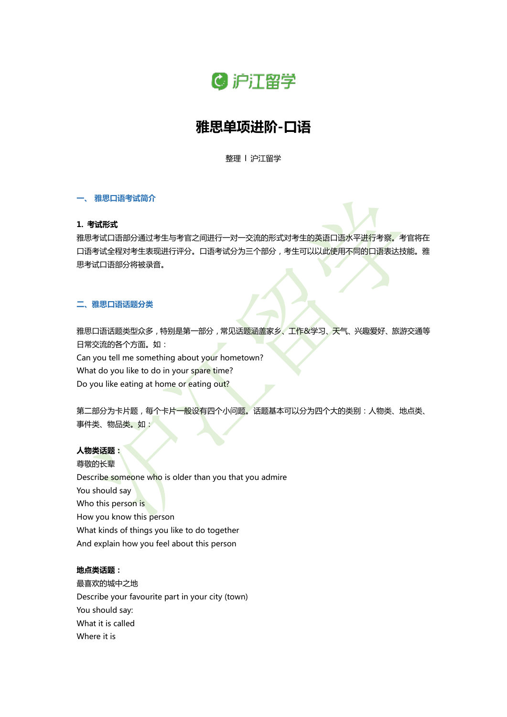

# **雅思单项进阶-口语**

整理 l 沪江留学

### **一、 雅思口语考试简介**

### **1. 考试形式**

雅思考试口语部分通过考生与考官之间进行一对一交流的形式对考生的英语口语水平进行考察。考官将在 口语考试全程对考生表现进行评分。口语考试分为三个部分,考生可以以此使用不同的口语表达技能。雅 思考试口语部分将被录音。

### **二、雅思口语话题分类**

雅思口语话题类型众多,特别是第一部分,常见话题涵盖家乡、工作&学习、天气、兴趣爱好、旅游交通等 日常交流的各个方面。如: Can you tell me something about your hometown? What do you like to do in your spare time? Do you like eating at home or eating out?

第二部分为卡片题,每个卡片一般设有四个小问题。话题基本可以分为四个大的类别:人物类、地点类、 事件类、物品类。如:

# **人物类话题:**

尊敬的长辈 Describe someone who is older than you that you admire You should say Who this person is How you know this person What kinds of things you like to do together And explain how you feel about this person

### **地点类话题:**

最喜欢的城中之地 Describe your favourite part in your city (town) You should say: What it is called Where it is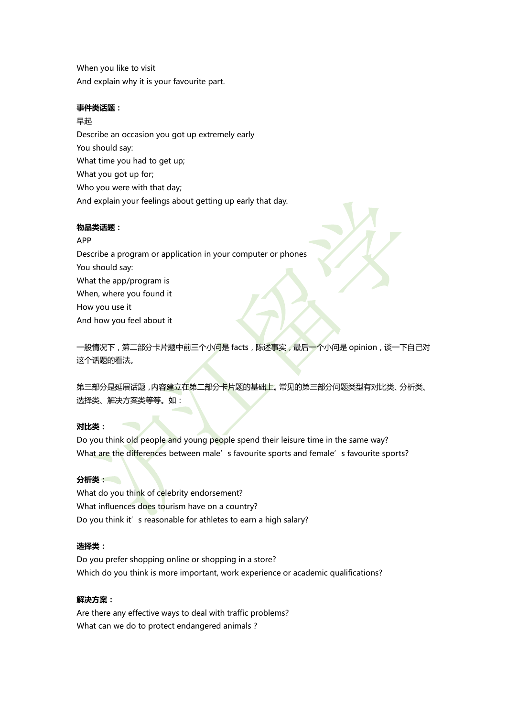When you like to visit And explain why it is your favourite part.

# **事件类话题:**

早起 Describe an occasion you got up extremely early You should say: What time you had to get up; What you got up for; Who you were with that day; And explain your feelings about getting up early that day.

# **物品类话题:**

# APP

Describe a program or application in your computer or phones You should say: What the app/program is When, where you found it How you use it And how you feel about it

一般情况下, 第二部分卡片题中前三个小问是 facts, 陈述事实, 最后一个小问是 opinion, 谈一下自己对 这个话题的看法。

第三部分是延展话题,内容建立在第二部分卡片题的基础上。常见的第三部分问题类型有对比类、分析类、 选择类、解决方案类等等。如:

# **对比类:**

Do you think old people and young people spend their leisure time in the same way? What are the differences between male's favourite sports and female's favourite sports?

# **分析类:**

What do you think of celebrity endorsement? What influences does tourism have on a country? Do you think it's reasonable for athletes to earn a high salary?

# **选择类:**

Do you prefer shopping online or shopping in a store? Which do you think is more important, work experience or academic qualifications?

# **解决方案:**

Are there any effective ways to deal with traffic problems? What can we do to protect endangered animals?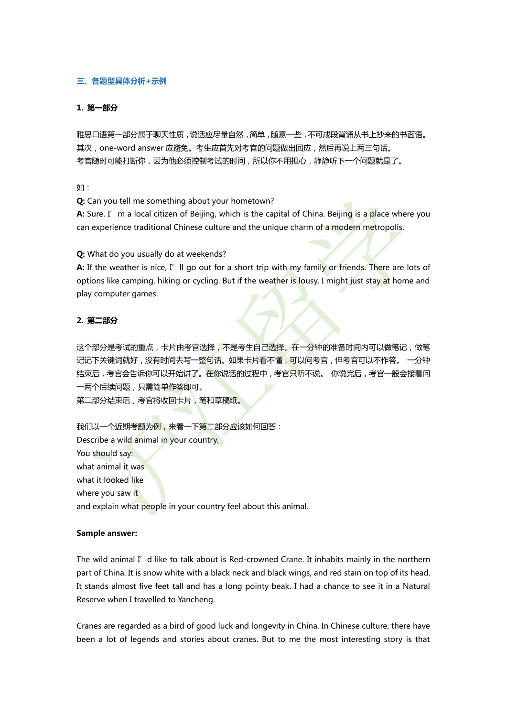# **三、各题型具体分析+示例**

### **1. 第一部分**

雅思口语第一部分属于聊天性质,说话应尽量自然,简单,随意一些,不可成段背诵从书上抄来的书面语。 其次, one-word answer 应避免。考生应首先对考官的问题做出回应, 然后再说上两三句话。 考官随时可能打断你,因为他必须控制考试的时间,所以你不用担心,静静听下一个问题就是了。

如:

**Q:** Can you tell me something about your hometown?

**A:** Sure. I'm a local citizen of Beijing, which is the capital of China. Beijing is a place where you can experience traditional Chinese culture and the unique charm of a modern metropolis.

**Q:** What do you usually do at weekends?

A: If the weather is nice, I'll go out for a short trip with my family or friends. There are lots of options like camping, hiking or cycling. But if the weather is lousy, I might just stay at home and play computer games.

### **2. 第二部分**

这个部分是考试的重点,卡片由考官选择,不是考生自己选择。在一分钟的准备时间内可以做笔记,做笔 记记下关键词就好,没有时间去写一整句话。如果卡片看不懂,可以问考官,但考官可以不作答。 一分钟 结束后,考官会告诉你可以开始讲了。在你说话的过程中,考官只听不说。 你说完后,考官一般会接着问 一两个后续问题,只需简单作答即可。

第二部分结束后,考官将收回卡片,笔和草稿纸。

我们以一个近期考题为例,来看一下第二部分应该如何回答: Describe a wild animal in your country. You should say: what animal it was what it looked like where you saw it and explain what people in your country feel about this animal.

#### **Sample answer:**

The wild animal I' d like to talk about is Red-crowned Crane. It inhabits mainly in the northern part of China. It is snow white with a black neck and black wings, and red stain on top of its head. It stands almost five feet tall and has a long pointy beak. I had a chance to see it in a Natural Reserve when I travelled to Yancheng.

Cranes are regarded as a bird of good luck and longevity in China. In Chinese culture, there have been a lot of legends and stories about cranes. But to me the most interesting story is that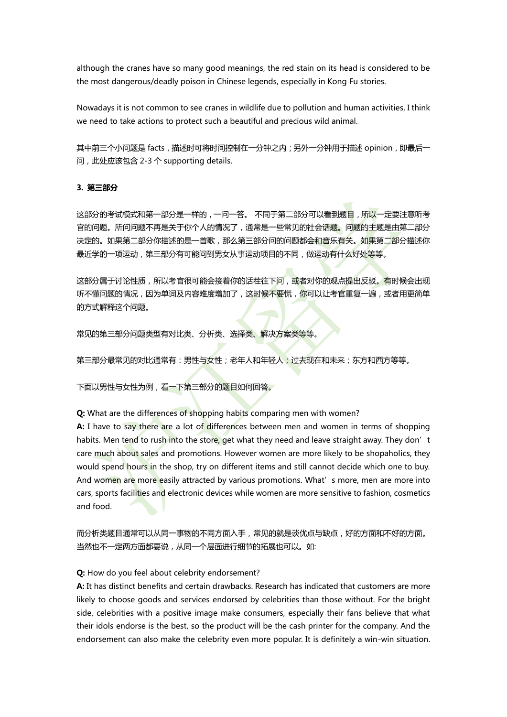although the cranes have so many good meanings, the red stain on its head is considered to be the most dangerous/deadly poison in Chinese legends, especially in Kong Fu stories.

Nowadays it is not common to see cranes in wildlife due to pollution and human activities, I think we need to take actions to protect such a beautiful and precious wild animal.

其中前三个小问题是 facts,描述时可将时间控制在一分钟之内;另外一分钟用于描述 opinion,即最后一 问,此处应该包含 2-3 个 supporting details.

#### **3. 第三部分**

这部分的考试模式和第一部分是一样的,一问一答。 不同于第二部分可以看到题目,所以一定要注意听考 官的问题。所问问题不再是关于你个人的情况了,通常是一些常见的社会话题。问题的主题是由第二部分 决定的。如果第二部分你描述的是一首歌,那么第三部分问的问题都会和音乐有关。如果第二部分描述你 最近学的一项运动,第三部分有可能问到男女从事运动项目的不同,做运动有什么好处等等。

这部分属于讨论性质,所以考官很可能会接着你的话茬往下问,或者对你的观点提出反驳。有时候会出现 听不懂问题的情况,因为单词及内容难度增加了,这时候不要慌,你可以让考官重复一遍,或者用更简单 的方式解释这个问题。

常见的第三部分问题类型有对比类、分析类、选择类、解决方案类等等。

第三部分最常见的对比通常有:男性与女性;老年人和年轻人;过去现在和未来;东方和西方等等。

下面以男性与女性为例,看一下第三部分的题目如何回答。

**Q:** What are the differences of shopping habits comparing men with women?

**A:** I have to say there are a lot of differences between men and women in terms of shopping habits. Men tend to rush into the store, get what they need and leave straight away. They don't care much about sales and promotions. However women are more likely to be shopaholics, they would spend hours in the shop, try on different items and still cannot decide which one to buy. And women are more easily attracted by various promotions. What's more, men are more into cars, sports facilities and electronic devices while women are more sensitive to fashion, cosmetics and food.

而分析类题目通常可以从同一事物的不同方面入手,常见的就是谈优点与缺点,好的方面和不好的方面。 当然也不一定两方面都要说,从同一个层面进行细节的拓展也可以。如:

### **Q:** How do you feel about celebrity endorsement?

**A:** It has distinct benefits and certain drawbacks. Research has indicated that customers are more likely to choose goods and services endorsed by celebrities than those without. For the bright side, celebrities with a positive image make consumers, especially their fans believe that what their idols endorse is the best, so the product will be the cash printer for the company. And the endorsement can also make the celebrity even more popular. It is definitely a win-win situation.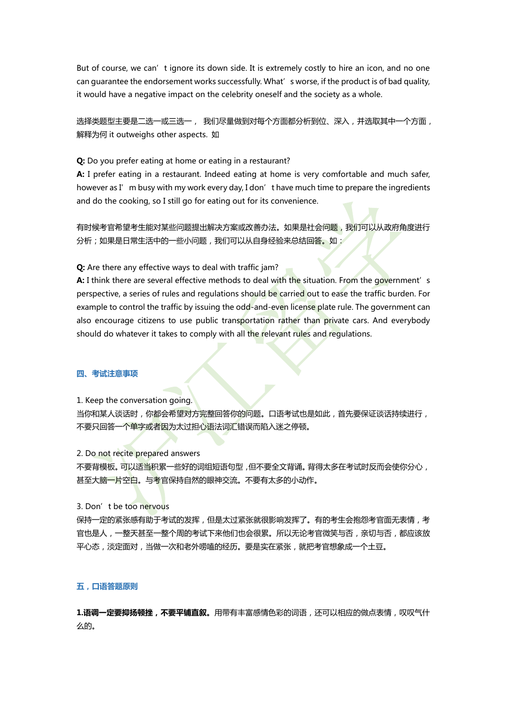But of course, we can't ignore its down side. It is extremely costly to hire an icon, and no one can guarantee the endorsement works successfully. What's worse, if the product is of bad quality, it would have a negative impact on the celebrity oneself and the society as a whole.

选择类题型主要是二选一或三选一, 我们尽量做到对每个方面都分析到位、深入,并选取其中一个方面, 解释为何 it outweighs other aspects. 如

**Q:** Do you prefer eating at home or eating in a restaurant?

**A:** I prefer eating in a restaurant. Indeed eating at home is very comfortable and much safer, however as I'm busy with my work every day, I don't have much time to prepare the ingredients and do the cooking, so I still go for eating out for its convenience.

有时候考官希望考生能对某些问题提出解决方案或改善办法。如果是社会问题,我们可以从政府角度进行 分析;如果是日常生活中的一些小问题,我们可以从自身经验来总结回答。如:

**Q:** Are there any effective ways to deal with traffic jam?

A: I think there are several effective methods to deal with the situation. From the government's perspective, a series of rules and regulations should be carried out to ease the traffic burden. For example to control the traffic by issuing the odd-and-even license plate rule. The government can also encourage citizens to use public transportation rather than private cars. And everybody should do whatever it takes to comply with all the relevant rules and regulations.

### **四、考试注意事项**

1. Keep the conversation going.

当你和某人谈话时,你都会希望对方完整回答你的问题。口语考试也是如此,首先要保证谈话持续进行, 不要只回答一个单字或者因为太过担心语法词汇错误而陷入迷之停顿。

2. Do not recite prepared answers

不要背模板。可以适当积累一些好的词组短语句型,但不要全文背诵。背得太多在考试时反而会使你分心, 甚至大脑一片空白。与考官保持自然的眼神交流。不要有太多的小动作。

3. Don't be too nervous

保持一定的紧张感有助于考试的发挥,但是太过紧张就很影响发挥了。有的考生会抱怨考官面无表情,考 官也是人,一整天甚至一整个周的考试下来他们也会很累。所以无论考官微笑与否,亲切与否,都应该放 平心态,淡定面对,当做一次和老外唠嗑的经历。要是实在紧张,就把考官想象成一个土豆。

#### **五,口语答题原则**

1.**语调一定要抑扬顿挫,不要平铺直叙。**用带有丰富感情色彩的词语,还可以相应的做点表情,叹叹气什 么的。